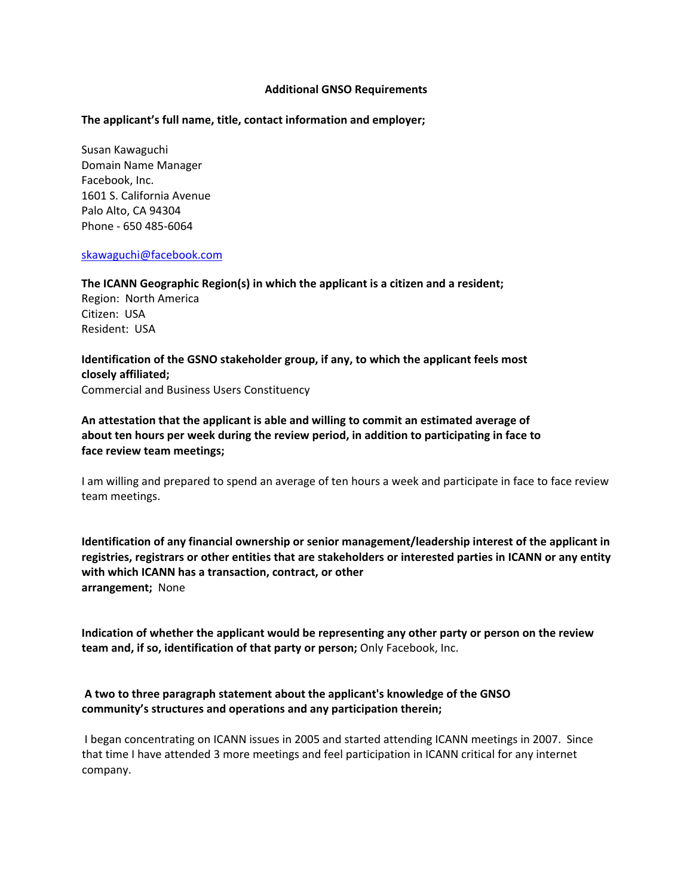#### **Additional GNSO Requirements**

### **The applicant's full name, title, contact information and employer;**

Susan Kawaguchi Domain Name Manager Facebook, Inc. 1601 S. California Avenue Palo Alto, CA 94304 Phone ‐ 650 485‐6064

#### [skawaguchi@facebook.com](mailto:skawaguchi@facebook.com)

**The ICANN Geographic Region(s) in which the applicant is a citizen and a resident;**

Region: North America Citizen: USA Resident: USA

**Identification of the GSNO stakeholder group, if any, to which the applicant feels most closely affiliated;** Commercial and Business Users Constituency

**An attestation that the applicant is able and willing to commit an estimated average of about ten hours per week during the review period, in addition to participating in face to face review team meetings;**

I am willing and prepared to spend an average of ten hours a week and participate in face to face review team meetings.

**Identification of any financial ownership or senior management/leadership interest of the applicant in registries, registrars or other entities that are stakeholders or interested parties in ICANN or any entity with which ICANN has a transaction, contract, or other arrangement;** None

**Indication of whether the applicant would be representing any other party or person on the review team and, if so, identification of that party or person;** Only Facebook, Inc.

# **A two to three paragraph statement about the applicant's knowledge of the GNSO community's structures and operations and any participation therein;**

I began concentrating on ICANN issues in 2005 and started attending ICANN meetings in 2007. Since that time I have attended 3 more meetings and feel participation in ICANN critical for any internet company.